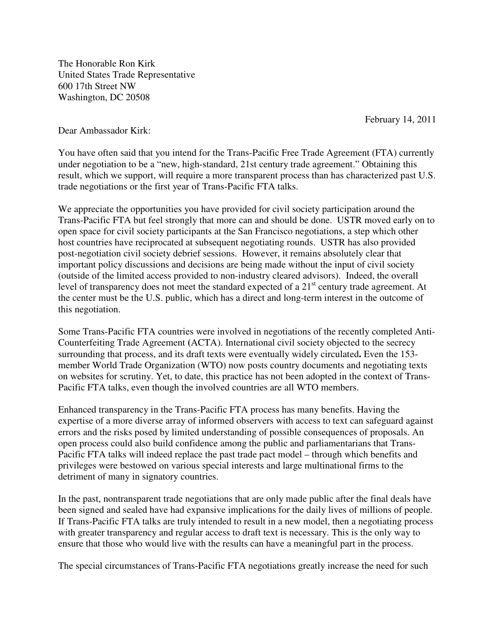The Honorable Ron Kirk United States Trade Representative 600 17th Street NW Washington, DC 20508

February 14, 2011

Dear Ambassador Kirk:

You have often said that you intend for the Trans-Pacific Free Trade Agreement (FTA) currently under negotiation to be a "new, high-standard, 21st century trade agreement." Obtaining this result, which we support, will require a more transparent process than has characterized past U.S. trade negotiations or the first year of Trans-Pacific FTA talks.

We appreciate the opportunities you have provided for civil society participation around the Trans-Pacific FTA but feel strongly that more can and should be done. USTR moved early on to open space for civil society participants at the San Francisco negotiations, a step which other host countries have reciprocated at subsequent negotiating rounds. USTR has also provided post-negotiation civil society debrief sessions. However, it remains absolutely clear that important policy discussions and decisions are being made without the input of civil society (outside of the limited access provided to non-industry cleared advisors). Indeed, the overall level of transparency does not meet the standard expected of a  $21<sup>st</sup>$  century trade agreement. At the center must be the U.S. public, which has a direct and long-term interest in the outcome of this negotiation.

Some Trans-Pacific FTA countries were involved in negotiations of the recently completed Anti-Counterfeiting Trade Agreement **(**ACTA). International civil society objected to the secrecy surrounding that process, and its draft texts were eventually widely circulated**.** Even the 153 member World Trade Organization (WTO) now posts country documents and negotiating texts on websites for scrutiny. Yet, to date, this practice has not been adopted in the context of Trans-Pacific FTA talks, even though the involved countries are all WTO members.

Enhanced transparency in the Trans-Pacific FTA process has many benefits. Having the expertise of a more diverse array of informed observers with access to text can safeguard against errors and the risks posed by limited understanding of possible consequences of proposals. An open process could also build confidence among the public and parliamentarians that Trans-Pacific FTA talks will indeed replace the past trade pact model – through which benefits and privileges were bestowed on various special interests and large multinational firms to the detriment of many in signatory countries.

In the past, nontransparent trade negotiations that are only made public after the final deals have been signed and sealed have had expansive implications for the daily lives of millions of people. If Trans-Pacific FTA talks are truly intended to result in a new model, then a negotiating process with greater transparency and regular access to draft text is necessary. This is the only way to ensure that those who would live with the results can have a meaningful part in the process.

The special circumstances of Trans-Pacific FTA negotiations greatly increase the need for such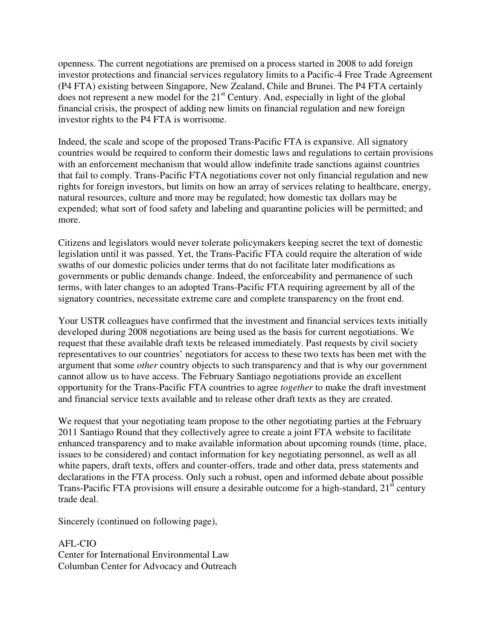openness. The current negotiations are premised on a process started in 2008 to add foreign investor protections and financial services regulatory limits to a Pacific-4 Free Trade Agreement (P4 FTA) existing between Singapore, New Zealand, Chile and Brunei. The P4 FTA certainly does not represent a new model for the 21<sup>st</sup> Century. And, especially in light of the global financial crisis, the prospect of adding new limits on financial regulation and new foreign investor rights to the P4 FTA is worrisome.

Indeed, the scale and scope of the proposed Trans-Pacific FTA is expansive. All signatory countries would be required to conform their domestic laws and regulations to certain provisions with an enforcement mechanism that would allow indefinite trade sanctions against countries that fail to comply. Trans-Pacific FTA negotiations cover not only financial regulation and new rights for foreign investors, but limits on how an array of services relating to healthcare, energy, natural resources, culture and more may be regulated; how domestic tax dollars may be expended; what sort of food safety and labeling and quarantine policies will be permitted; and more.

Citizens and legislators would never tolerate policymakers keeping secret the text of domestic legislation until it was passed. Yet, the Trans-Pacific FTA could require the alteration of wide swaths of our domestic policies under terms that do not facilitate later modifications as governments or public demands change. Indeed, the enforceability and permanence of such terms, with later changes to an adopted Trans-Pacific FTA requiring agreement by all of the signatory countries, necessitate extreme care and complete transparency on the front end.

Your USTR colleagues have confirmed that the investment and financial services texts initially developed during 2008 negotiations are being used as the basis for current negotiations. We request that these available draft texts be released immediately. Past requests by civil society representatives to our countries' negotiators for access to these two texts has been met with the argument that some *other* country objects to such transparency and that is why our government cannot allow us to have access. The February Santiago negotiations provide an excellent opportunity for the Trans-Pacific FTA countries to agree *together* to make the draft investment and financial service texts available and to release other draft texts as they are created.

We request that your negotiating team propose to the other negotiating parties at the February 2011 Santiago Round that they collectively agree to create a joint FTA website to facilitate enhanced transparency and to make available information about upcoming rounds (time, place, issues to be considered) and contact information for key negotiating personnel, as well as all white papers, draft texts, offers and counter-offers, trade and other data, press statements and declarations in the FTA process. Only such a robust, open and informed debate about possible Trans-Pacific FTA provisions will ensure a desirable outcome for a high-standard,  $21<sup>st</sup>$  century trade deal.

Sincerely (continued on following page),

AFL-CIO Center for International Environmental Law Columban Center for Advocacy and Outreach